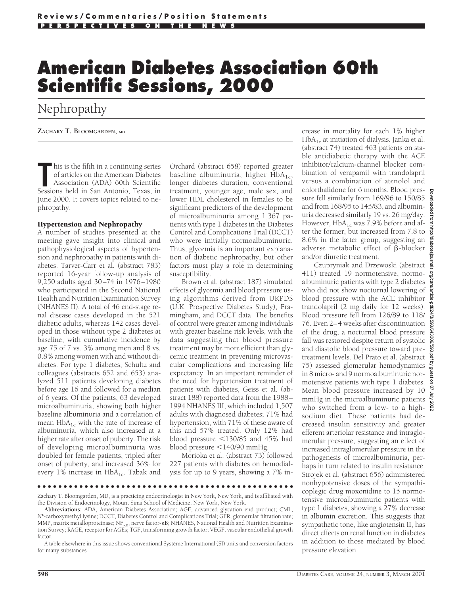# **American Diabetes Association 60th Scientific Sessions, 2000**

## Nephropathy

**ZACHARY T. BLOOMGARDEN, MD**

Inis is the fifth in a continuing series of articles on the American Diabetes Association (ADA) 60th Scientific Sessions held in San Antonio, Texas, in his is the fifth in a continuing series of articles on the American Diabetes Association (ADA) 60th Scientific June 2000. It covers topics related to nephropathy.

#### Hypertension and Nephropathy

A number of studies presented at the meeting gave insight into clinical and pathophysiological aspects of hypertension and nephropathy in patients with diabetes. Tarver-Carr et al. (abstract 783) reported 16-year follow-up analysis of 9,250 adults aged 30–74 in 1976–1980 who participated in the Second National Health and Nutrition Examination Survey (NHANES II). A total of 46 end-stage renal disease cases developed in the 521 diabetic adults, whereas 142 cases developed in those without type 2 diabetes at baseline, with cumulative incidence by age 75 of 7 vs. 3% among men and 8 vs. 0.8% among women with and without diabetes. For type 1 diabetes, Schultz and colleagues (abstracts 652 and 653) analyzed 511 patients developing diabetes before age 16 and followed for a median of 6 years. Of the patients, 63 developed microalbuminuria, showing both higher baseline albuminuria and a correlation of mean  $HbA_{1c}$  with the rate of increase of albuminuria, which also increased at a higher rate after onset of puberty. The risk of developing microalbuminuria was doubled for female patients, tripled after onset of puberty, and increased 36% for every 1% increase in  $HbA_{1c}$ . Tabak and Orchard (abstract 658) reported greater baseline albuminuria, higher  $HbA_{1c}$ , longer diabetes duration, conventional treatment, younger age, male sex, and lower HDL cholesterol in females to be significant predictors of the development of microalbuminuria among 1,367 patients with type 1 diabetes in the Diabetes Control and Complications Trial (DCCT) who were initially normoalbuminuric. Thus, glycemia is an important explanation of diabetic nephropathy, but other factors must play a role in determining susceptibility.

Brown et al. (abstract 187) simulated effects of glycemia and blood pressure using algorithms derived from UKPDS (U.K. Prospective Diabetes Study), Framingham, and DCCT data. The benefits of control were greater among individuals with greater baseline risk levels, with the data suggesting that blood pressure treatment may be more efficient than glycemic treatment in preventing microvascular complications and increasing life expectancy. In an important reminder of the need for hypertension treatment of patients with diabetes, Geiss et al. (abstract 188) reported data from the 1988– 1994 NHANES III, which included 1,507 adults with diagnosed diabetes; 71% had hypertension, with 71% of these aware of this and 57% treated. Only 12% had blood pressure  $\leq$ 130/85 and 45% had blood pressure  $\leq$ 140/90 mmHg.

Morioka et al. (abstract 73) followed 227 patients with diabetes on hemodialysis for up to 9 years, showing a 7% in-

●●●●●●●●●●●●●●●●●●●●●●●●●●●●●●●●●●●●●●●●●●●●●●●●●

Zachary T. Bloomgarden, MD, is a practicing endocrinologist in New York, New York, and is affiliated with the Division of Endocrinology, Mount Sinai School of Medicine, New York, New York.

crease in mortality for each 1% higher  $HbA_{1c}$  at initiation of dialysis. Janka et al. (abstract 74) treated 463 patients on stable antidiabetic therapy with the ACE inhibitor/calcium-channel blocker combination of verapamil with trandolapril versus a combination of atenolol and chlorthalidone for 6 months. Blood pressure fell similarly from 169/96 to 150/85 and from 168/95 to 145/83, and albuminuria decreased similarly 19 vs. 26 mg/day. However,  $HbA_{1c}$  was 7.9% before and after the former, but increased from 7.8 to 8.6% in the latter group, suggesting an adverse metabolic effect of  $\beta$ -blocker and/or diuretic treatment.

Czupryniak and Drzewoski (abstract 411) treated 19 normotensive, normoalbuminuric patients with type 2 diabetes who did not show nocturnal lowering of blood pressure with the ACE inhibitor trandolapril (2 mg daily for 12 weeks). Blood pressure fell from 126/89 to 118/ 76. Even 2–4 weeks after discontinuation of the drug, a nocturnal blood pressure fall was restored despite return of systolic and diastolic blood pressure toward pretreatment levels. Del Prato et al. (abstract 75) assessed glomerular hemodynamics in 8 micro- and 9 normoalbuminuric normotensive patients with type 1 diabetes. Mean blood pressure increased by 10 mmHg in the microalbuminuric patients who switched from a low- to a highsodium diet. These patients had decreased insulin sensitivity and greater efferent arteriolar resistance and intraglomerular pressure, suggesting an effect of increased intraglomerular pressure in the pathogenesis of microalbuminuria, perhaps in turn related to insulin resistance. Strojek et al. (abstract 656) administered nonhypotensive doses of the sympathicoplegic drug moxonidine to 15 normotensive microalbuminuric patients with type 1 diabetes, showing a 27% decrease in albumin excretion. This suggests that sympathetic tone, like angiotensin II, has direct effects on renal function in diabetes in addition to those mediated by blood pressure elevation.

**Abbreviations:** ADA, American Diabetes Association; AGE, advanced glycation end product; CML, *N*e -carboxymethyl lysine; DCCT, Diabetes Control and Complications Trial; GFR, glomerular filtration rate; MMP, matrix metalloproteinase; NF<sub>kB</sub>, nerve factor- $\kappa$ B; NHANES, National Health and Nutrition Examination Survey; RAGE, receptor for AGEs; TGF, transforming growth factor; VEGF, vascular endothelial growth factor

A table elsewhere in this issue shows conventional Système International (SI) units and conversion factors for many substances.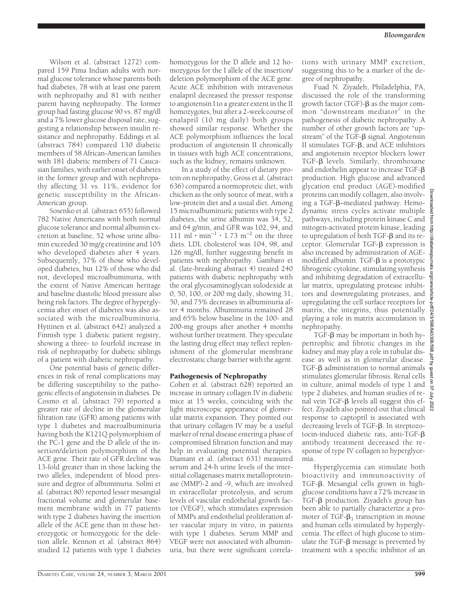Wilson et al. (abstract 1272) compared 159 Pima Indian adults with normal glucose tolerance whose parents both had diabetes, 78 with at least one parent with nephropathy and 81 with neither parent having nephropathy. The former group had fasting glucose 90 vs. 87 mg/dl and a 7% lower glucose disposal rate, suggesting a relationship between insulin resistance and nephropathy. Eddings et al. (abstract 784) compared 130 diabetic members of 58 African-American families with 181 diabetic members of 71 Caucasian families, with earlier onset of diabetes in the former group and with nephropathy affecting 31 vs. 11%, evidence for genetic susceptibility in the African-American group.

Sosenko et al. (abstract 655) followed 782 Native Americans with both normal glucose tolerance and normal albumin excretion at baseline, 52 whose urine albumin exceeded 30 mg/g creatinine and 105 who developed diabetes after 4 years. Subsequently, 37% of those who developed diabetes, but 12% of those who did not, developed microalbuminuria, with the extent of Native American heritage and baseline diastolic blood pressure also being risk factors. The degree of hyperglycemia after onset of diabetes was also associated with the microalbuminuria. Hyttinen et al. (abstract 642) analyzed a Finnish type 1 diabetic patient registry, showing a three- to fourfold increase in risk of nephropathy for diabetic siblings of a patient with diabetic nephropathy.

One potential basis of genetic differences in risk of renal complications may be differing susceptibility to the pathogenic effects of angiotensin in diabetes. De Cosmo et al. (abstract 79) reported a greater rate of decline in the glomerular filtration rate (GFR) among patients with type 1 diabetes and macroalbuminuria having both the K121Q polymorphism of the PC-1 gene and the D allele of the insertion/deletion polymorphism of the ACE gene. Their rate of GFR decline was 13-fold greater than in those lacking the two alleles, independent of blood pressure and degree of albuminuria. Solini et al. (abstract 80) reported lesser mesangial fractional volume and glomerular basement membrane width in 77 patients with type 2 diabetes having the insertion allele of the ACE gene than in those heterozygotic or homozygotic for the deletion allele. Kennon et al. (abstract 864) studied 12 patients with type 1 diabetes

homozygous for the D allele and 12 homozygous for the I allele of the insertion/ deletion polymorphism of the ACE gene. Acute ACE inhibition with intravenous enalapril decreased the pressor response to angiotensin I to a greater extent in the II homozygotes, but after a 2-week course of enalapril (10 mg daily) both groups showed similar response. Whether the ACE polymorphism influences the local production of angiotensin II chronically in tissues with high ACE concentrations, such as the kidney, remains unknown.

In a study of the effect of dietary protein on nephropathy, Gross et al. (abstract 636) compared a normoproteic diet, with chicken as the only source of meat, with a low-protein diet and a usual diet. Among 15 microalbuminuric patients with type 2 diabetes, the urine albumin was 34, 52, and 64 g/min, and GFR was 102, 94, and 111 ml  $\cdot$  min<sup>-1</sup>  $\cdot$  1.73 m<sup>-2</sup> on the three diets. LDL cholesterol was 104, 98, and 126 mg/dl, further suggesting benefit in patients with nephropathy. Gambaro et al. (late-breaking abstract 4) treated 240 patients with diabetic nephropathy with the oral glycosaminoglycan sulodexide at 0, 50, 100, or 200 mg daily, showing 31, 50, and 75% decreases in albuminuria after 4 months. Albuminuria remained 28 and 65% below baseline in the 100- and 200-mg groups after another 4 months without further treatment. They speculate the lasting drug effect may reflect replenishment of the glomerular membrane electrostatic charge barrier with the agent.

#### Pathogenesis of Nephropathy

Cohen et al. (abstract 628) reported an increase in urinary collagen IV in diabetic mice at 15 weeks, coinciding with the light microscopic appearance of glomerular matrix expansion. They pointed out that urinary collagen IV may be a useful marker of renal disease entering a phase of compromised filtration function and may help in evaluating potential therapies. Diamant et al. (abstract 631) measured serum and 24-h urine levels of the interstitial collagenases matrix metalloproteinase (MMP)-2 and -9, which are involved in extracellular proteolysis, and serum levels of vascular endothelial growth factor (VEGF), which stimulates expression of MMPs and endothelial proliferation after vascular injury in vitro, in patients with type 1 diabetes. Serum MMP and VEGF were not associated with albuminuria, but there were significant correlations with urinary MMP excretion, suggesting this to be a marker of the degree of nephropathy.

Fuad N. Ziyadeh, Philadelphia, PA, discussed the role of the transforming growth factor (TGF)- $\beta$  as the major common "downstream mediator" in the pathogenesis of diabetic nephropathy. A number of other growth factors are "upstream" of the  $TGF- $\beta$  signal. Angiotensin$ II stimulates  $TGF- $\beta$ , and ACE inhibitors$ and angiotensin receptor blockers lower TGF- $\beta$  levels. Similarly, thromboxane and endothelin appear to increase  $TGF- $\beta$$ production. High glucose and advanced glycation end product (AGE)-modified proteins can modify collagen, also involving a TGF- $\beta$ -mediated pathway. Hemodynamic stress cycles activate multiple pathways, including protein kinase C and mitogen-activated protein kinase, leading to upregulation of both  $TGF- $\beta$  and its re$ ceptor. Glomerular TGF- $\beta$  expression is also increased by administration of AGEmodified albumin. TGF- $\beta$  is a prototypic fibrogenic cytokine, stimulating synthesis and inhibiting degradation of extracellular matrix, upregulating protease inhibitors and downregulating proteases, and upregulating the cell surface receptors for matrix, the integrins, thus potentially playing a role in matrix accumulation in nephropathy.

 $TGF- $\beta$  may be important in both hy$ pertrophic and fibrotic changes in the kidney and may play a role in tubular disease as well as in glomerular disease.  $TGF- $\beta$  administration to normal animals$ stimulates glomerular fibrosis. Renal cells in culture, animal models of type 1 and  $\frac{a}{\alpha}$ type 2 diabetes, and human studies of renal vein TGF- $\beta$  levels all suggest this effect. Ziyadeh also pointed out that clinical response to captopril is associated with decreasing levels of TGF- $\beta$ . In streptozotocin-induced diabetic rats, anti-TGF-b antibody treatment decreased the response of type IV collagen to hyperglycemia.

Hyperglycemia can stimulate both bioactivity and immunoactivity of TGF- $\beta$ . Mesangial cells grown in highglucose conditions have a 72% increase in TGF- $\beta$  production. Ziyadeh's group has been able to partially characterize a promoter of TGF- $\beta_1$  transcription in mouse and human cells stimulated by hyperglycemia. The effect of high glucose to stimulate the  $TGF- $\beta$  message is prevented by$ treatment with a specific inhibitor of an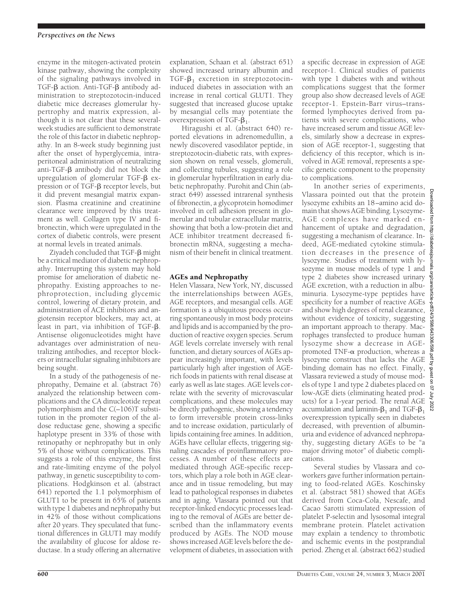enzyme in the mitogen-activated protein kinase pathway, showing the complexity of the signaling pathways involved in TGF- $\beta$  action. Anti-TGF- $\beta$  antibody administration to streptozotocin-induced diabetic mice decreases glomerular hypertrophy and matrix expression, although it is not clear that these severalweek studies are sufficient to demonstrate the role of this factor in diabetic nephropathy. In an 8-week study beginning just after the onset of hyperglycemia, intraperitoneal administration of neutralizing anti-TGF- $\beta$  antibody did not block the upregulation of glomerular TGF- $\beta$  expression or of  $TGF- $\beta$  receptor levels, but$ it did prevent mesangial matrix expansion. Plasma creatinine and creatinine clearance were improved by this treatment as well. Collagen type IV and fibronectin, which were upregulated in the cortex of diabetic controls, were present at normal levels in treated animals.

Ziyadeh concluded that TGF- $\beta$  might be a critical mediator of diabetic nephropathy. Interrupting this system may hold promise for amelioration of diabetic nephropathy. Existing approaches to nephroprotection, including glycemic control, lowering of dietary protein, and administration of ACE inhibitors and angiotensin receptor blockers, may act, at least in part, via inhibition of TGF-b. Antisense oligonucleotides might have advantages over administration of neutralizing antibodies, and receptor blockers or intracellular signaling inhibitors are being sought.

In a study of the pathogenesis of nephropathy, Demaine et al. (abstract 76) analyzed the relationship between complications and the CA dinucleotide repeat polymorphism and the C(–106)T substitution in the promoter region of the aldose reductase gene, showing a specific haplotype present in 33% of those with retinopathy or nephropathy but in only 5% of those without complications. This suggests a role of this enzyme, the first and rate-limiting enzyme of the polyol pathway, in genetic susceptibility to complications. Hodgkinson et al. (abstract 641) reported the 1.1 polymorphism of GLUT1 to be present in 65% of patients with type 1 diabetes and nephropathy but in 42% of those without complications after 20 years. They speculated that functional differences in GLUT1 may modify the availability of glucose for aldose reductase. In a study offering an alternative

explanation, Schaan et al. (abstract 651) showed increased urinary albumin and TGF- $\beta_1$  excretion in streptozotocininduced diabetes in association with an increase in renal cortical GLUT1. They suggested that increased glucose uptake by mesangial cells may potentiate the overexpression of TGF- $\beta_1$ .

Hiragushi et al. (abstract 640) reported elevations in adrenomedullin, a newly discovered vasodilator peptide, in streptozotocin-diabetic rats, with expression shown on renal vessels, glomeruli, and collecting tubules, suggesting a role in glomerular hyperfiltration in early diabetic nephropathy. Purohit and Chin (abstract 649) assessed intrarenal synthesis of fibronectin, a glycoprotein homodimer involved in cell adhesion present in glomerular and tubular extracellular matrix, showing that both a low-protein diet and ACE inhibitor treatment decreased fibronectin mRNA, suggesting a mechanism of their benefit in clinical treatment.

### AGEs and Nephropathy

Helen Vlassara, New York, NY, discussed the interrelationships between AGEs, AGE receptors, and mesangial cells. AGE formation is a ubiquitous process occurring spontaneously in most body proteins and lipids and is accompanied by the production of reactive oxygen species. Serum AGE levels correlate inversely with renal function, and dietary sources of AGEs appear increasingly important, with levels particularly high after ingestion of AGErich foods in patients with renal disease at early as well as late stages. AGE levels correlate with the severity of microvascular complications, and these molecules may be directly pathogenic, showing a tendency to form irreversible protein cross-links and to increase oxidation, particularly of lipids containing free amines. In addition, AGEs have cellular effects, triggering signaling cascades of proinflammatory processes. A number of these effects are mediated through AGE-specific receptors, which play a role both in AGE clearance and in tissue remodeling, but may lead to pathological responses in diabetes and in aging. Vlassara pointed out that receptor-linked endocytic processes leading to the removal of AGEs are better described than the inflammatory events produced by AGEs. The NOD mouse shows increased AGE levels before the development of diabetes, in association with

a specific decrease in expression of AGE receptor-1. Clinical studies of patients with type 1 diabetes with and without complications suggest that the former group also show decreased levels of AGE receptor-1. Epstein-Barr virus–transformed lymphocytes derived from patients with severe complications, who have increased serum and tissue AGE levels, similarly show a decrease in expression of AGE receptor-1, suggesting that deficiency of this receptor, which is involved in AGE removal, represents a specific genetic component to the propensity to complications.

In another series of experiments, Vlassara pointed out that the protein § lysozyme exhibits an 18–amino acid domain that shows AGE binding. Lysozyme-AGE complexes have marked enhancement of uptake and degradation, suggesting a mechanism of clearance. Indeed, AGE-mediated cytokine stimulation decreases in the presence of lysozyme. Studies of treatment with lysozyme in mouse models of type 1 and type 2 diabetes show increased urinary AGE excretion, with a reduction in albuminuria. Lysozyme-type peptides have specificity for a number of reactive AGEs and show high degrees of renal clearance, without evidence of toxicity, suggesting an important approach to therapy. Macrophages transfected to produce human lysozyme show a decrease in AGEpromoted TNF- $\alpha$  production, whereas a lysozyme construct that lacks the AGE binding domain has no effect. Finally, Vlassara reviewed a study of mouse models of type 1 and type 2 diabetes placed on low-AGE diets (eliminating heated products) for a 1-year period. The renal AGE accumulation and laminin- $\beta_1$  and TGF- $\beta_1$ overexpression typically seen in diabetes decreased, with prevention of albuminuria and evidence of advanced nephropathy, suggesting dietary AGEs to be "a major driving motor" of diabetic complications.

Several studies by Vlassara and coworkers gave further information pertaining to food-related AGEs. Koschinsky et al. (abstract 581) showed that AGEs derived from Coca-Cola, Nescafe, and Cacao Sarotti stimulated expression of platelet P-selectin and lysosomal integral membrane protein. Platelet activation may explain a tendency to thrombotic and ischemic events in the postprandial period. Zheng et al. (abstract 662) studied